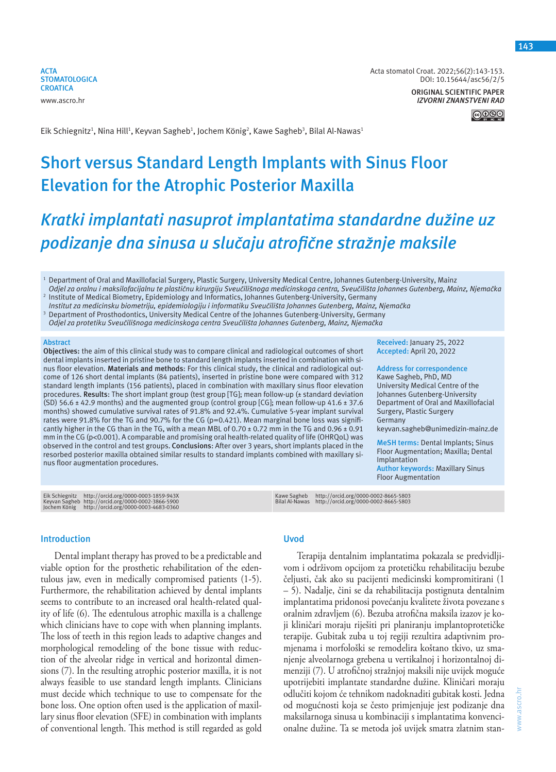**ACTA STOMATOLOGICA CROATICA** www.ascro.hr

Acta stomatol Croat. 2022;56(2):143-153. DOI: 10.15644/asc56/2/5

> **ORIGINAL SCIENTIFIC PAPER** *IZVORNI ZNANSTVENI RAD*

Eik Schiegnitz<sup>1</sup>, Nina Hill<sup>1</sup>, Keyvan Sagheb<sup>1</sup>, Jochem König<sup>2</sup>, Kawe Sagheb<sup>3</sup>, Bilal Al-Nawas<sup>1</sup>

# **Short versus Standard Length Implants with Sinus Floor Elevation for the Atrophic Posterior Maxilla**

# *Kratki implantati nasuprot implantatima standardne dužine uz podizanje dna sinusa u slučaju atrofične stražnje maksile*

 $^{\rm 1}$  Department of Oral and Maxillofacial Surgery, Plastic Surgery, University Medical Centre, Johannes Gutenberg-University, Mainz *Odjel za oralnu i maksilofacijalnu te plastičnu kirurgiju Sveučilišnoga medicinskoga centra, Sveučilišta Johannes Gutenberg, Mainz, Njemačka* 2

 Institute of Medical Biometry, Epidemiology and Informatics, Johannes Gutenberg-University, Germany *Institut za medicinsku biometriju, epidemiologiju i informatiku Sveučilišta Johannes Gutenberg, Mainz, Njemačka*

3 Department of Prosthodontics, University Medical Centre of the Johannes Gutenberg-University, Germany

*Odjel za protetiku Sveučilišnoga medicinskoga centra Sveučilišta Johannes Gutenberg, Mainz, Njemačka*

#### **Abstract**

**Objectives:** the aim of this clinical study was to compare clinical and radiological outcomes of short dental implants inserted in pristine bone to standard length implants inserted in combination with sinus floor elevation. **Materials and methods**: For this clinical study, the clinical and radiological outcome of 126 short dental implants (84 patients), inserted in pristine bone were compared with 312 standard length implants (156 patients), placed in combination with maxillary sinus floor elevation procedures. **Results**: The short implant group (test group [TG]; mean follow-up (± standard deviation (SD) 56.6 ± 42.9 months) and the augmented group (control group [CG]; mean follow-up 41.6 ± 37.6 months) showed cumulative survival rates of 91.8% and 92.4%. Cumulative 5-year implant survival rates were 91.8% for the TG and 90.7% for the CG (p=0.421). Mean marginal bone loss was significantly higher in the CG than in the TG, with a mean MBL of  $0.70 \pm 0.72$  mm in the TG and  $0.96 \pm 0.91$ mm in the CG (p<0.001). A comparable and promising oral health-related quality of life (OHRQoL) was observed in the control and test groups. **Conclusions**: After over 3 years, short implants placed in the resorbed posterior maxilla obtained similar results to standard implants combined with maxillary sinus floor augmentation procedures.

Eik Schiegnitz http://orcid.org/0000-0003-1859-943X<br>Keyvan Sagheb http://orcid.org/0000-0002-3866-5900<br>Jochem König http://orcid.org/0000-0003-4683-0360

#### **Introduction**

Dental implant therapy has proved to be a predictable and viable option for the prosthetic rehabilitation of the edentulous jaw, even in medically compromised patients (1-5). Furthermore, the rehabilitation achieved by dental implants seems to contribute to an increased oral health-related quality of life (6). The edentulous atrophic maxilla is a challenge which clinicians have to cope with when planning implants. The loss of teeth in this region leads to adaptive changes and morphological remodeling of the bone tissue with reduction of the alveolar ridge in vertical and horizontal dimensions (7). In the resulting atrophic posterior maxilla, it is not always feasible to use standard length implants. Clinicians must decide which technique to use to compensate for the bone loss. One option often used is the application of maxillary sinus floor elevation (SFE) in combination with implants of conventional length. This method is still regarded as gold

## **Uvod**

Terapija dentalnim implantatima pokazala se predvidljivom i održivom opcijom za protetičku rehabilitaciju bezube čeljusti, čak ako su pacijenti medicinski kompromitirani (1 – 5). Nadalje, čini se da rehabilitacija postignuta dentalnim implantatima pridonosi povećanju kvalitete života povezane s oralnim zdravljem (6). Bezuba atrofična maksila izazov je koji kliničari moraju riješiti pri planiranju implantoprotetičke terapije. Gubitak zuba u toj regiji rezultira adaptivnim promjenama i morfološki se remodelira koštano tkivo, uz smanjenje alveolarnoga grebena u vertikalnoj i horizontalnoj dimenziji (7). U atrofičnoj stražnjoj maksili nije uvijek moguće upotrijebiti implantate standardne dužine. Kliničari moraju odlučiti kojom će tehnikom nadoknaditi gubitak kosti. Jedna od mogućnosti koja se često primjenjuje jest podizanje dna maksilarnoga sinusa u kombinaciji s implantatima konvencionalne dužine. Ta se metoda još uvijek smatra zlatnim stan-

keyvan.sagheb@unimedizin-mainz.de **MeSH terms:** Dental Implants; Sinus Floor Augmentation; Maxilla; Dental **Author keywords:** Maxillary Sinus

Floor Augmentation

**Received:** January 25, 2022 **Accepted:** April 20, 2022 **Address for correspondence** Kawe Sagheb, PhD, MD University Medical Centre of the Johannes Gutenberg-University Department of Oral and Maxillofacial

Surgery, Plastic Surgery

**Germany** 

Implantation

Kawe Sagheb http://orcid.org/0000-0002-8665-5803 Bilal Al-Nawas http://orcid.org/0000-0002-8665-5803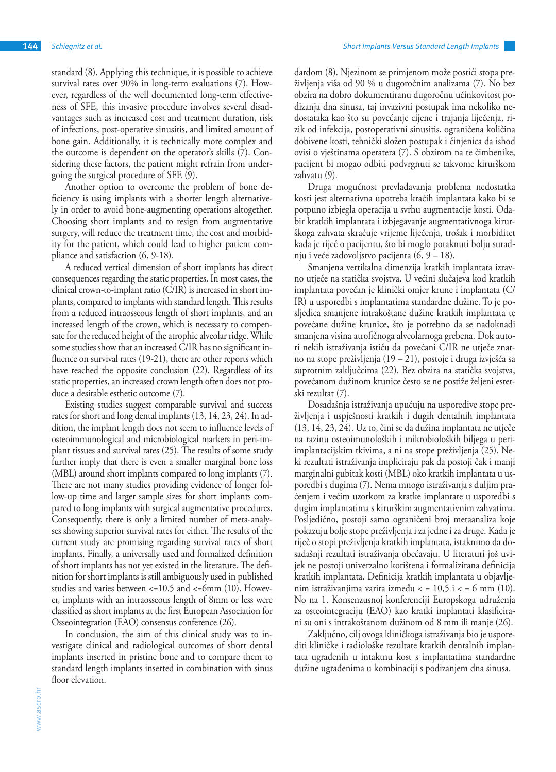standard (8). Applying this technique, it is possible to achieve survival rates over 90% in long-term evaluations (7). However, regardless of the well documented long-term effectiveness of SFE, this invasive procedure involves several disadvantages such as increased cost and treatment duration, risk of infections, post-operative sinusitis, and limited amount of bone gain. Additionally, it is technically more complex and the outcome is dependent on the operator's skills (7). Considering these factors, the patient might refrain from undergoing the surgical procedure of SFE (9).

Another option to overcome the problem of bone deficiency is using implants with a shorter length alternatively in order to avoid bone-augmenting operations altogether. Choosing short implants and to resign from augmentative surgery, will reduce the treatment time, the cost and morbidity for the patient, which could lead to higher patient compliance and satisfaction (6, 9-18).

A reduced vertical dimension of short implants has direct consequences regarding the static properties. In most cases, the clinical crown-to-implant ratio (C/IR) is increased in short implants, compared to implants with standard length. This results from a reduced intraosseous length of short implants, and an increased length of the crown, which is necessary to compensate for the reduced height of the atrophic alveolar ridge. While some studies show that an increased C/IR has no significant influence on survival rates (19-21), there are other reports which have reached the opposite conclusion (22). Regardless of its static properties, an increased crown length often does not produce a desirable esthetic outcome (7).

Existing studies suggest comparable survival and success rates for short and long dental implants (13, 14, 23, 24). In addition, the implant length does not seem to influence levels of osteoimmunological and microbiological markers in peri-implant tissues and survival rates (25). The results of some study further imply that there is even a smaller marginal bone loss (MBL) around short implants compared to long implants (7). There are not many studies providing evidence of longer follow-up time and larger sample sizes for short implants compared to long implants with surgical augmentative procedures. Consequently, there is only a limited number of meta-analyses showing superior survival rates for either. The results of the current study are promising regarding survival rates of short implants. Finally, a universally used and formalized definition of short implants has not yet existed in the literature. The definition for short implants is still ambiguously used in published studies and varies between <=10.5 and <=6mm (10). However, implants with an intraosseous length of 8mm or less were classified as short implants at the first European Association for Osseointegration (EAO) consensus conference (26).

In conclusion, the aim of this clinical study was to investigate clinical and radiological outcomes of short dental implants inserted in pristine bone and to compare them to standard length implants inserted in combination with sinus floor elevation.

dardom (8). Njezinom se primjenom može postići stopa preživljenja viša od 90 % u dugoročnim analizama (7). No bez obzira na dobro dokumentiranu dugoročnu učinkovitost podizanja dna sinusa, taj invazivni postupak ima nekoliko nedostataka kao što su povećanje cijene i trajanja liječenja, rizik od infekcija, postoperativni sinusitis, ograničena količina dobivene kosti, tehnički složen postupak i činjenica da ishod ovisi o vještinama operatera (7). S obzirom na te čimbenike, pacijent bi mogao odbiti podvrgnuti se takvome kirurškom zahvatu (9).

Druga mogućnost prevladavanja problema nedostatka kosti jest alternativna upotreba kraćih implantata kako bi se potpuno izbjegla operacija u svrhu augmentacije kosti. Odabir kratkih implantata i izbjegavanje augmentativnoga kirurškoga zahvata skraćuje vrijeme liječenja, trošak i morbiditet kada je riječ o pacijentu, što bi moglo potaknuti bolju suradnju i veće zadovoljstvo pacijenta (6, 9 – 18).

Smanjena vertikalna dimenzija kratkih implantata izravno utječe na statička svojstva. U većini slučajeva kod kratkih implantata povećan je klinički omjer krune i implantata (C/ IR) u usporedbi s implantatima standardne dužine. To je posljedica smanjene intrakoštane dužine kratkih implantata te povećane dužine krunice, što je potrebno da se nadoknadi smanjena visina atrofičnoga alveolarnoga grebena. Dok autori nekih istraživanja ističu da povećani C/IR ne utječe znatno na stope preživljenja (19 – 21), postoje i druga izvješća sa suprotnim zaključcima (22). Bez obzira na statička svojstva, povećanom dužinom krunice često se ne postiže željeni estetski rezultat (7).

Dosadašnja istraživanja upućuju na usporedive stope preživljenja i uspješnosti kratkih i dugih dentalnih implantata (13, 14, 23, 24). Uz to, čini se da dužina implantata ne utječe na razinu osteoimunoloških i mikrobioloških biljega u periimplantacijskim tkivima, a ni na stope preživljenja (25). Neki rezultati istraživanja impliciraju pak da postoji čak i manji marginalni gubitak kosti (MBL) oko kratkih implantata u usporedbi s dugima (7). Nema mnogo istraživanja s duljim praćenjem i većim uzorkom za kratke implantate u usporedbi s dugim implantatima s kirurškim augmentativnim zahvatima. Posljedično, postoji samo ograničeni broj metaanaliza koje pokazuju bolje stope preživljenja i za jedne i za druge. Kada je riječ o stopi preživljenja kratkih implantata, istaknimo da dosadašnji rezultati istraživanja obećavaju. U literaturi još uvijek ne postoji univerzalno korištena i formalizirana definicija kratkih implantata. Definicija kratkih implantata u objavljenim istraživanjima varira između  $\langle 10, 5 \rangle$ i  $\langle 10, 10 \rangle$ . No na 1. Konsenzusnoj konferenciji Europskoga udruženja za osteointegraciju (EAO) kao kratki implantati klasificirani su oni s intrakoštanom dužinom od 8 mm ili manje (26).

Zaključno, cilj ovoga kliničkoga istraživanja bio je usporediti kliničke i radiološke rezultate kratkih dentalnih implantata ugrađenih u intaktnu kost s implantatima standardne dužine ugrađenima u kombinaciji s podizanjem dna sinusa.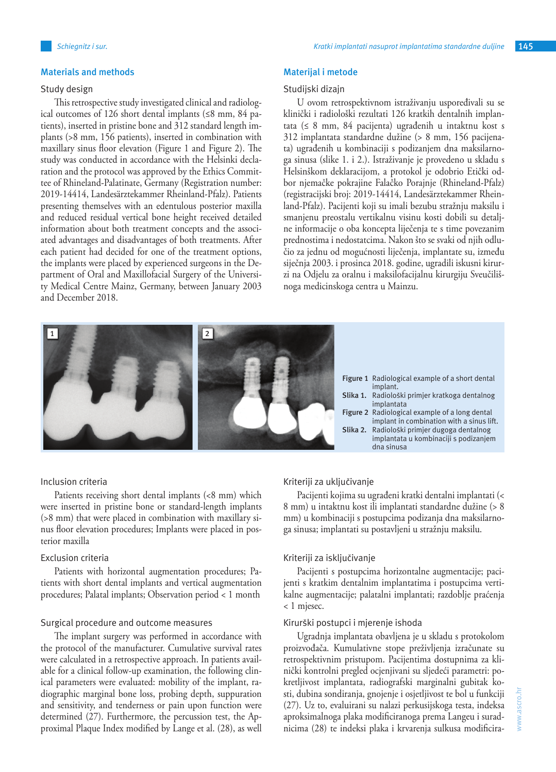## **Materials and methods**

## Study design

This retrospective study investigated clinical and radiological outcomes of 126 short dental implants (≤8 mm, 84 patients), inserted in pristine bone and 312 standard length implants (>8 mm, 156 patients), inserted in combination with maxillary sinus floor elevation (Figure 1 and Figure 2). The study was conducted in accordance with the Helsinki declaration and the protocol was approved by the Ethics Committee of Rhineland-Palatinate, Germany (Registration number: 2019-14414, Landesärztekammer Rheinland-Pfalz). Patients presenting themselves with an edentulous posterior maxilla and reduced residual vertical bone height received detailed information about both treatment concepts and the associated advantages and disadvantages of both treatments. After each patient had decided for one of the treatment options, the implants were placed by experienced surgeons in the Department of Oral and Maxillofacial Surgery of the University Medical Centre Mainz, Germany, between January 2003 and December 2018.

## **Materijal i metode**

#### Studijski dizajn

U ovom retrospektivnom istraživanju uspoređivali su se klinički i radiološki rezultati 126 kratkih dentalnih implantata (≤ 8 mm, 84 pacijenta) ugrađenih u intaktnu kost s 312 implantata standardne dužine (> 8 mm, 156 pacijenata) ugrađenih u kombinaciji s podizanjem dna maksilarnoga sinusa (slike 1. i 2.). Istraživanje je provedeno u skladu s Helsinškom deklaracijom, a protokol je odobrio Etički odbor njemačke pokrajine Falačko Porajnje (Rhineland-Pfalz) (registracijski broj: 2019-14414, Landesärztekammer Rheinland-Pfalz). Pacijenti koji su imali bezubu stražnju maksilu i smanjenu preostalu vertikalnu visinu kosti dobili su detaljne informacije o oba koncepta liječenja te s time povezanim prednostima i nedostatcima. Nakon što se svaki od njih odlučio za jednu od mogućnosti liječenja, implantate su, između siječnja 2003. i prosinca 2018. godine, ugradili iskusni kirurzi na Odjelu za oralnu i maksilofacijalnu kirurgiju Sveučilišnoga medicinskoga centra u Mainzu.



#### Inclusion criteria

Patients receiving short dental implants (<8 mm) which were inserted in pristine bone or standard-length implants (>8 mm) that were placed in combination with maxillary sinus floor elevation procedures; Implants were placed in posterior maxilla

#### Exclusion criteria

Patients with horizontal augmentation procedures; Patients with short dental implants and vertical augmentation procedures; Palatal implants; Observation period < 1 month

#### Surgical procedure and outcome measures

The implant surgery was performed in accordance with the protocol of the manufacturer. Cumulative survival rates were calculated in a retrospective approach. In patients available for a clinical follow-up examination, the following clinical parameters were evaluated: mobility of the implant, radiographic marginal bone loss, probing depth, suppuration and sensitivity, and tenderness or pain upon function were determined (27). Furthermore, the percussion test, the Approximal Plaque Index modified by Lange et al. (28), as well

## Kriteriji za uključivanje

Pacijenti kojima su ugrađeni kratki dentalni implantati (< 8 mm) u intaktnu kost ili implantati standardne dužine (> 8 mm) u kombinaciji s postupcima podizanja dna maksilarnoga sinusa; implantati su postavljeni u stražnju maksilu.

#### Kriteriji za isključivanje

Pacijenti s postupcima horizontalne augmentacije; pacijenti s kratkim dentalnim implantatima i postupcima vertikalne augmentacije; palatalni implantati; razdoblje praćenja < 1 mjesec.

#### Kirurški postupci i mjerenje ishoda

Ugradnja implantata obavljena je u skladu s protokolom proizvođača. Kumulativne stope preživljenja izračunate su retrospektivnim pristupom. Pacijentima dostupnima za klinički kontrolni pregled ocjenjivani su sljedeći parametri: pokretljivost implantata, radiografski marginalni gubitak kosti, dubina sondiranja, gnojenje i osjetljivost te bol u funkciji (27). Uz to, evaluirani su nalazi perkusijskoga testa, indeksa aproksimalnoga plaka modificiranoga prema Langeu i suradnicima (28) te indeksi plaka i krvarenja sulkusa modificira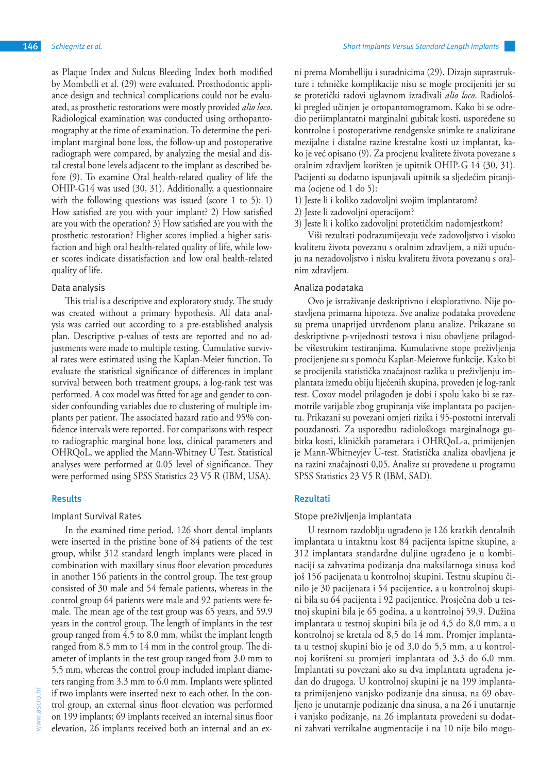as Plaque Index and Sulcus Bleeding Index both modified by Mombelli et al. (29) were evaluated. Prosthodontic appliance design and technical complications could not be evaluated, as prosthetic restorations were mostly provided *alio loco*. Radiological examination was conducted using orthopantomography at the time of examination. To determine the periimplant marginal bone loss, the follow-up and postoperative radiograph were compared, by analyzing the mesial and dis-

tal crestal bone levels adjacent to the implant as described before (9). To examine Oral health-related quality of life the OHIP-G14 was used (30, 31). Additionally, a questionnaire with the following questions was issued (score 1 to 5): 1) How satisfied are you with your implant? 2) How satisfied are you with the operation? 3) How satisfied are you with the prosthetic restoration? Higher scores implied a higher satisfaction and high oral health-related quality of life, while lower scores indicate dissatisfaction and low oral health-related quality of life.

## Data analysis

This trial is a descriptive and exploratory study. The study was created without a primary hypothesis. All data analysis was carried out according to a pre-established analysis plan. Descriptive p-values of tests are reported and no adjustments were made to multiple testing. Cumulative survival rates were estimated using the Kaplan-Meier function. To evaluate the statistical significance of differences in implant survival between both treatment groups, a log-rank test was performed. A cox model was fitted for age and gender to consider confounding variables due to clustering of multiple implants per patient. The associated hazard ratio and 95% confidence intervals were reported. For comparisons with respect to radiographic marginal bone loss, clinical parameters and OHRQoL, we applied the Mann-Whitney U Test. Statistical analyses were performed at 0.05 level of significance. They were performed using SPSS Statistics 23 V5 R (IBM, USA).

## **Results**

#### Implant Survival Rates

In the examined time period, 126 short dental implants were inserted in the pristine bone of 84 patients of the test group, whilst 312 standard length implants were placed in combination with maxillary sinus floor elevation procedures in another 156 patients in the control group. The test group consisted of 30 male and 54 female patients, whereas in the control group 64 patients were male and 92 patients were female. The mean age of the test group was 65 years, and 59.9 years in the control group. The length of implants in the test group ranged from 4.5 to 8.0 mm, whilst the implant length ranged from 8.5 mm to 14 mm in the control group. The diameter of implants in the test group ranged from 3.0 mm to 5.5 mm, whereas the control group included implant diameters ranging from 3.3 mm to 6.0 mm. Implants were splinted if two implants were inserted next to each other. In the control group, an external sinus floor elevation was performed on 199 implants; 69 implants received an internal sinus floor elevation, 26 implants received both an internal and an exni prema Mombelliju i suradnicima (29). Dizajn suprastrukture i tehničke komplikacije nisu se mogle procijeniti jer su se protetički radovi uglavnom izrađivali *alio loco*. Radiološki pregled učinjen je ortopantomogramom. Kako bi se odredio periimplantatni marginalni gubitak kosti, uspoređene su kontrolne i postoperativne rendgenske snimke te analizirane mezijalne i distalne razine krestalne kosti uz implantat, kako je već opisano (9). Za procjenu kvalitete života povezane s oralnim zdravljem korišten je upitnik OHIP-G 14 (30, 31). Pacijenti su dodatno ispunjavali upitnik sa sljedećim pitanjima (ocjene od 1 do 5):

- 1) Jeste li i koliko zadovoljni svojim implantatom?
- 2) Jeste li zadovoljni operacijom?
- 3) Jeste li i koliko zadovoljni protetičkim nadomjestkom?

Viši rezultati podrazumijevaju veće zadovoljstvo i visoku kvalitetu života povezanu s oralnim zdravljem, a niži upućuju na nezadovoljstvo i nisku kvalitetu života povezanu s oralnim zdravljem.

### Analiza podataka

Ovo je istraživanje deskriptivno i eksplorativno. Nije postavljena primarna hipoteza. Sve analize podataka provedene su prema unaprijed utvrđenom planu analize. Prikazane su deskriptivne p-vrijednosti testova i nisu obavljene prilagodbe višestrukim testiranjima. Kumulativne stope preživljenja procijenjene su s pomoću Kaplan-Meierove funkcije. Kako bi se procijenila statistička značajnost razlika u preživljenju implantata između obiju liječenih skupina, proveden je log-rank test. Coxov model prilagođen je dobi i spolu kako bi se razmotrile varijable zbog grupiranja više implantata po pacijentu. Prikazani su povezani omjeri rizika i 95-postotni intervali pouzdanosti. Za usporedbu radiološkoga marginalnoga gubitka kosti, kliničkih parametara i OHRQoL-a, primijenjen je Mann-Whitneyjev U-test. Statistička analiza obavljena je na razini značajnosti 0,05. Analize su provedene u programu SPSS Statistics 23 V5 R (IBM, SAD).

## **Rezultati**

#### Stope preživljenja implantata

U testnom razdoblju ugrađeno je 126 kratkih dentalnih implantata u intaktnu kost 84 pacijenta ispitne skupine, a 312 implantata standardne duljine ugrađeno je u kombinaciji sa zahvatima podizanja dna maksilarnoga sinusa kod još 156 pacijenata u kontrolnoj skupini. Testnu skupinu činilo je 30 pacijenata i 54 pacijentice, a u kontrolnoj skupini bila su 64 pacijenta i 92 pacijentice. Prosječna dob u testnoj skupini bila je 65 godina, a u kontrolnoj 59,9. Dužina implantata u testnoj skupini bila je od 4,5 do 8,0 mm, a u kontrolnoj se kretala od 8,5 do 14 mm. Promjer implantata u testnoj skupini bio je od 3,0 do 5,5 mm, a u kontrolnoj korišteni su promjeri implantata od 3,3 do 6,0 mm. Implantati su povezani ako su dva implantata ugrađena jedan do drugoga. U kontrolnoj skupini je na 199 implantata primijenjeno vanjsko podizanje dna sinusa, na 69 obavljeno je unutarnje podizanje dna sinusa, a na 26 i unutarnje i vanjsko podizanje, na 26 implantata provedeni su dodatni zahvati vertikalne augmentacije i na 10 nije bilo mogu-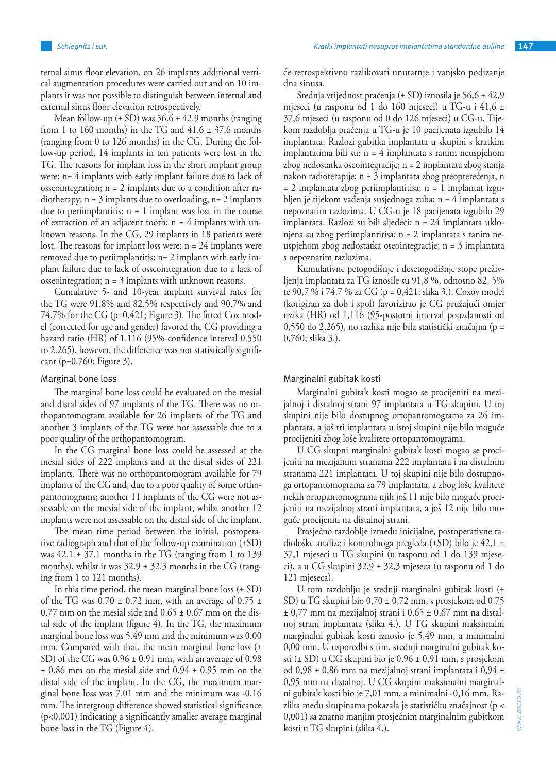ternal sinus floor elevation, on 26 implants additional vertical augmentation procedures were carried out and on 10 implants it was not possible to distinguish between internal and external sinus floor elevation retrospectively.

Mean follow-up  $(\pm SD)$  was 56.6  $\pm 42.9$  months (ranging from 1 to 160 months) in the TG and  $41.6 \pm 37.6$  months (ranging from 0 to 126 months) in the CG. During the follow-up period, 14 implants in ten patients were lost in the TG. The reasons for implant loss in the short implant group were: n= 4 implants with early implant failure due to lack of osseointegration; n = 2 implants due to a condition after radiotherapy;  $n = 3$  implants due to overloading,  $n = 2$  implants due to periimplantitis;  $n = 1$  implant was lost in the course of extraction of an adjacent tooth;  $n = 4$  implants with unknown reasons. In the CG, 29 implants in 18 patients were lost. The reasons for implant loss were: n = 24 implants were removed due to periimplantitis; n= 2 implants with early implant failure due to lack of osseointegration due to a lack of osseointegration;  $n = 3$  implants with unknown reasons.

Cumulative 5- and 10-year implant survival rates for the TG were 91.8% and 82.5% respectively and 90.7% and 74.7% for the CG (p=0.421; Figure 3). The fitted Cox model (corrected for age and gender) favored the CG providing a hazard ratio (HR) of 1.116 (95%-confidence interval 0.550 to 2.265), however, the difference was not statistically significant (p=0.760; Figure 3).

#### Marginal bone loss

The marginal bone loss could be evaluated on the mesial and distal sides of 97 implants of the TG. There was no orthopantomogram available for 26 implants of the TG and another 3 implants of the TG were not assessable due to a poor quality of the orthopantomogram.

In the CG marginal bone loss could be assessed at the mesial sides of 222 implants and at the distal sides of 221 implants. There was no orthopantomogram available for 79 implants of the CG and, due to a poor quality of some orthopantomograms; another 11 implants of the CG were not assessable on the mesial side of the implant, whilst another 12 implants were not assessable on the distal side of the implant.

The mean time period between the initial, postoperative radiograph and that of the follow-up examination (±SD) was  $42.1 \pm 37.1$  months in the TG (ranging from 1 to 139) months), whilst it was  $32.9 \pm 32.3$  months in the CG (ranging from 1 to 121 months).

In this time period, the mean marginal bone loss  $(\pm SD)$ of the TG was  $0.70 \pm 0.72$  mm, with an average of  $0.75 \pm 0.72$ 0.77 mm on the mesial side and  $0.65 \pm 0.67$  mm on the distal side of the implant (figure 4). In the TG, the maximum marginal bone loss was 5.49 mm and the minimum was 0.00 mm. Compared with that, the mean marginal bone loss (± SD) of the CG was  $0.96 \pm 0.91$  mm, with an average of  $0.98$ ± 0.86 mm on the mesial side and 0.94 ± 0.95 mm on the distal side of the implant. In the CG, the maximum marginal bone loss was 7.01 mm and the minimum was -0.16 mm. The intergroup difference showed statistical significance (p<0.001) indicating a significantly smaller average marginal bone loss in the TG (Figure 4).

će retrospektivno razlikovati unutarnje i vanjsko podizanje dna sinusa.

Srednja vrijednost praćenja (± SD) iznosila je 56,6 ± 42,9 mjeseci (u rasponu od 1 do 160 mjeseci) u TG-u i 41,6 ± 37,6 mjeseci (u rasponu od 0 do 126 mjeseci) u CG-u. Tijekom razdoblja praćenja u TG-u je 10 pacijenata izgubilo 14 implantata. Razlozi gubitka implantata u skupini s kratkim implantatima bili su: n = 4 implantata s ranim neuspjehom zbog nedostatka oseointegracije; n = 2 implantata zbog stanja nakon radioterapije; n = 3 implantata zbog preopterećenja, n = 2 implantata zbog periimplantitisa; n = 1 implantat izgubljen je tijekom vađenja susjednoga zuba; n = 4 implantata s nepoznatim razlozima. U CG-u je 18 pacijenata izgubilo 29 implantata. Razlozi su bili sljedeći: n = 24 implantata uklonjena su zbog periimplantitisa; n = 2 implantata s ranim neuspjehom zbog nedostatka oseointegracije; n = 3 implantata s nepoznatim razlozima.

Kumulativne petogodišnje i desetogodišnje stope preživljenja implantata za TG iznosile su 91,8 %, odnosno 82, 5% te 90,7 % i 74,7 % za CG (p = 0,421; slika 3.). Coxov model (korigiran za dob i spol) favorizirao je CG pružajući omjer rizika (HR) od 1,116 (95-postotni interval pouzdanosti od 0,550 do 2,265), no razlika nije bila statistički značajna (p = 0,760; slika 3.).

#### Marginalni gubitak kosti

Marginalni gubitak kosti mogao se procijeniti na mezijalnoj i distalnoj strani 97 implantata u TG skupini. U toj skupini nije bilo dostupnog ortopantomograma za 26 implantata, a još tri implantata u istoj skupini nije bilo moguće procijeniti zbog loše kvalitete ortopantomograma.

U CG skupni marginalni gubitak kosti mogao se procijeniti na mezijalnim stranama 222 implantata i na distalnim stranama 221 implantata. U toj skupini nije bilo dostupnoga ortopantomograma za 79 implantata, a zbog loše kvalitete nekih ortopantomograma njih još 11 nije bilo moguće procijeniti na mezijalnoj strani implantata, a još 12 nije bilo moguće procijeniti na distalnoj strani.

Prosječno razdoblje između inicijalne, postoperativne radiološke analize i kontrolnoga pregleda (±SD) bilo je 42,1 ± 37,1 mjeseci u TG skupini (u rasponu od 1 do 139 mjeseci), a u CG skupini 32,9 ± 32,3 mjeseca (u rasponu od 1 do 121 mjeseca).

U tom razdoblju je srednji marginalni gubitak kosti (± SD) u TG skupini bio 0,70 ± 0,72 mm, s prosjekom od 0,75 ± 0,77 mm na mezijalnoj strani i 0,65 ± 0,67 mm na distalnoj strani implantata (slika 4.). U TG skupini maksimalni marginalni gubitak kosti iznosio je 5,49 mm, a minimalni 0,00 mm. U usporedbi s tim, srednji marginalni gubitak kosti (± SD) u CG skupini bio je 0,96 ± 0,91 mm, s prosjekom od 0,98 ± 0,86 mm na mezijalnoj strani implantata i 0,94 ± 0,95 mm na distalnoj. U CG skupini maksimalni marginalni gubitak kosti bio je 7,01 mm, a minimalni -0,16 mm. Razlika među skupinama pokazala je statističku značajnost (p < 0,001) sa znatno manjim prosječnim marginalnim gubitkom kosti u TG skupini (slika 4.).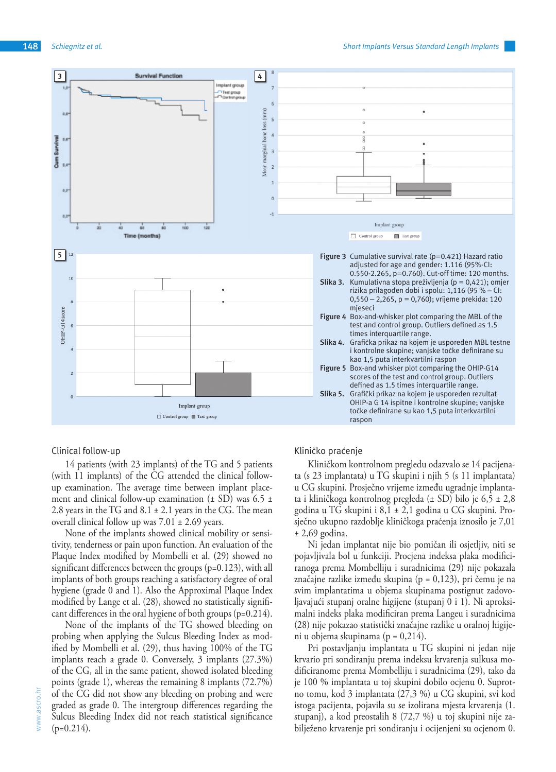

## Clinical follow-up

14 patients (with 23 implants) of the TG and 5 patients (with 11 implants) of the CG attended the clinical followup examination. The average time between implant placement and clinical follow-up examination  $(\pm S D)$  was 6.5  $\pm$ 2.8 years in the TG and  $8.1 \pm 2.1$  years in the CG. The mean overall clinical follow up was  $7.01 \pm 2.69$  years.

None of the implants showed clinical mobility or sensitivity, tenderness or pain upon function. An evaluation of the Plaque Index modified by Mombelli et al. (29) showed no significant differences between the groups (p=0.123), with all implants of both groups reaching a satisfactory degree of oral hygiene (grade 0 and 1). Also the Approximal Plaque Index modified by Lange et al. (28), showed no statistically significant differences in the oral hygiene of both groups (p=0.214).

None of the implants of the TG showed bleeding on probing when applying the Sulcus Bleeding Index as modified by Mombelli et al. (29), thus having 100% of the TG implants reach a grade 0. Conversely, 3 implants (27.3%) of the CG, all in the same patient, showed isolated bleeding points (grade 1), whereas the remaining 8 implants (72.7%) of the CG did not show any bleeding on probing and were graded as grade 0. The intergroup differences regarding the Sulcus Bleeding Index did not reach statistical significance  $(p=0.214)$ .

## Kliničko praćenje

Kliničkom kontrolnom pregledu odazvalo se 14 pacijenata (s 23 implantata) u TG skupini i njih 5 (s 11 implantata) u CG skupini. Prosječno vrijeme između ugradnje implantata i kliničkoga kontrolnog pregleda (± SD) bilo je 6,5 ± 2,8 godina u TG skupini i 8,1 ± 2,1 godina u CG skupini. Prosječno ukupno razdoblje kliničkoga praćenja iznosilo je 7,01 ± 2,69 godina.

Ni jedan implantat nije bio pomičan ili osjetljiv, niti se pojavljivala bol u funkciji. Procjena indeksa plaka modificiranoga prema Mombelliju i suradnicima (29) nije pokazala značajne razlike između skupina (p = 0,123), pri čemu je na svim implantatima u objema skupinama postignut zadovoljavajući stupanj oralne higijene (stupanj 0 i 1). Ni aproksimalni indeks plaka modificiran prema Langeu i suradnicima (28) nije pokazao statistički značajne razlike u oralnoj higijeni u objema skupinama (p = 0,214).

Pri postavljanju implantata u TG skupini ni jedan nije krvario pri sondiranju prema indeksu krvarenja sulkusa modificiranome prema Mombelliju i suradnicima (29), tako da je 100 % implantata u toj skupini dobilo ocjenu 0. Suprotno tomu, kod 3 implantata (27,3 %) u CG skupini, svi kod istoga pacijenta, pojavila su se izolirana mjesta krvarenja (1. stupanj), a kod preostalih 8 (72,7 %) u toj skupini nije zabilježeno krvarenje pri sondiranju i ocijenjeni su ocjenom 0.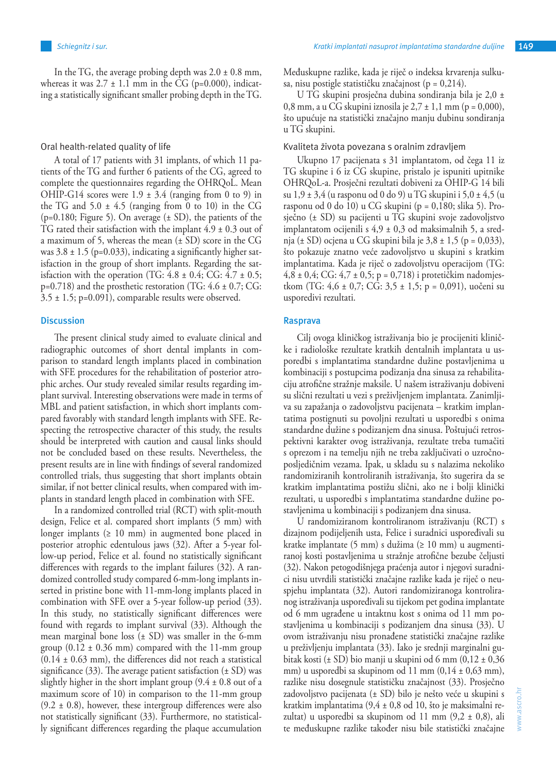In the TG, the average probing depth was  $2.0 \pm 0.8$  mm, whereas it was  $2.7 \pm 1.1$  mm in the CG (p=0.000), indicating a statistically significant smaller probing depth in the TG.

#### Oral health-related quality of life

A total of 17 patients with 31 implants, of which 11 patients of the TG and further 6 patients of the CG, agreed to complete the questionnaires regarding the OHRQoL. Mean OHIP-G14 scores were  $1.9 \pm 3.4$  (ranging from 0 to 9) in the TG and  $5.0 \pm 4.5$  (ranging from 0 to 10) in the CG  $(p=0.180;$  Figure 5). On average  $(\pm SD)$ , the patients of the TG rated their satisfaction with the implant  $4.9 \pm 0.3$  out of a maximum of 5, whereas the mean  $(\pm SD)$  score in the CG was  $3.8 \pm 1.5$  (p=0.033), indicating a significantly higher satisfaction in the group of short implants. Regarding the satisfaction with the operation (TG:  $4.8 \pm 0.4$ ; CG:  $4.7 \pm 0.5$ ;  $p=0.718$ ) and the prosthetic restoration (TG:  $4.6 \pm 0.7$ ; CG:  $3.5 \pm 1.5$ ; p=0.091), comparable results were observed.

## **Discussion**

The present clinical study aimed to evaluate clinical and radiographic outcomes of short dental implants in comparison to standard length implants placed in combination with SFE procedures for the rehabilitation of posterior atrophic arches. Our study revealed similar results regarding implant survival. Interesting observations were made in terms of MBL and patient satisfaction, in which short implants compared favorably with standard length implants with SFE. Respecting the retrospective character of this study, the results should be interpreted with caution and causal links should not be concluded based on these results. Nevertheless, the present results are in line with findings of several randomized controlled trials, thus suggesting that short implants obtain similar, if not better clinical results, when compared with implants in standard length placed in combination with SFE.

In a randomized controlled trial (RCT) with split-mouth design, Felice et al. compared short implants (5 mm) with longer implants ( $\geq 10$  mm) in augmented bone placed in posterior atrophic edentulous jaws (32). After a 5-year follow-up period, Felice et al. found no statistically significant differences with regards to the implant failures (32). A randomized controlled study compared 6-mm-long implants inserted in pristine bone with 11-mm-long implants placed in combination with SFE over a 5-year follow-up period (33). In this study, no statistically significant differences were found with regards to implant survival (33). Although the mean marginal bone loss  $(\pm SD)$  was smaller in the 6-mm group  $(0.12 \pm 0.36 \text{ mm})$  compared with the 11-mm group  $(0.14 \pm 0.63 \text{ mm})$ , the differences did not reach a statistical significance (33). The average patient satisfaction  $(\pm SD)$  was slightly higher in the short implant group (9.4 ± 0.8 out of a maximum score of 10) in comparison to the 11-mm group  $(9.2 \pm 0.8)$ , however, these intergroup differences were also not statistically significant (33). Furthermore, no statistically significant differences regarding the plaque accumulation

Međuskupne razlike, kada je riječ o indeksa krvarenja sulkusa, nisu postigle statističku značajnost (p = 0,214).

U TG skupini prosječna dubina sondiranja bila je 2,0 ± 0,8 mm, a u  $\overline{CG}$  skupini iznosila je 2,7 ± 1,1 mm (p = 0,000), što upućuje na statistički značajno manju dubinu sondiranja u TG skupini.

#### Kvaliteta života povezana s oralnim zdravljem

Ukupno 17 pacijenata s 31 implantatom, od čega 11 iz TG skupine i 6 iz CG skupine, pristalo je ispuniti upitnike OHRQoL-a. Prosječni rezultati dobiveni za OHIP-G 14 bili su  $1,9 \pm 3,4$  (u rasponu od 0 do 9) u TG skupini i 5,0  $\pm 4,5$  (u rasponu od 0 do 10) u CG skupini ( $p = 0,180$ ; slika 5). Prosječno (± SD) su pacijenti u TG skupini svoje zadovoljstvo implantatom ocijenili s 4,9 ± 0,3 od maksimalnih 5, a srednja ( $\pm$  SD) ocjena u CG skupini bila je 3,8  $\pm$  1,5 (p = 0,033), što pokazuje znatno veće zadovoljstvo u skupini s kratkim implantatima. Kada je riječ o zadovoljstvu operacijom (TG:  $4,8 \pm 0,4$ ; CG:  $4,7 \pm 0,5$ ; p = 0,718) i protetičkim nadomjestkom (TG:  $4.6 \pm 0.7$ ; CG:  $3.5 \pm 1.5$ ; p = 0.091), uočeni su usporedivi rezultati.

### **Rasprava**

Cilj ovoga kliničkog istraživanja bio je procijeniti kliničke i radiološke rezultate kratkih dentalnih implantata u usporedbi s implantatima standardne dužine postavljenima u kombinaciji s postupcima podizanja dna sinusa za rehabilitaciju atrofične stražnje maksile. U našem istraživanju dobiveni su slični rezultati u vezi s preživljenjem implantata. Zanimljiva su zapažanja o zadovoljstvu pacijenata – kratkim implantatima postignuti su povoljni rezultati u usporedbi s onima standardne dužine s podizanjem dna sinusa. Poštujući retrospektivni karakter ovog istraživanja, rezultate treba tumačiti s oprezom i na temelju njih ne treba zaključivati o uzročnoposljedičnim vezama. Ipak, u skladu su s nalazima nekoliko randomiziranih kontroliranih istraživanja, što sugerira da se kratkim implantatima postižu slični, ako ne i bolji klinički rezultati, u usporedbi s implantatima standardne dužine postavljenima u kombinaciji s podizanjem dna sinusa.

U randomiziranom kontroliranom istraživanju (RCT) s dizajnom podijeljenih usta, Felice i suradnici uspoređivali su kratke implantate (5 mm) s dužima (≥ 10 mm) u augmentiranoj kosti postavljenima u stražnje atrofične bezube čeljusti (32). Nakon petogodišnjega praćenja autor i njegovi suradnici nisu utvrdili statistički značajne razlike kada je riječ o neuspjehu implantata (32). Autori randomiziranoga kontroliranog istraživanja uspoređivali su tijekom pet godina implantate od 6 mm ugrađene u intaktnu kost s onima od 11 mm postavljenima u kombinaciji s podizanjem dna sinusa (33). U ovom istraživanju nisu pronađene statistički značajne razlike u preživljenju implantata (33). Iako je srednji marginalni gubitak kosti (± SD) bio manji u skupini od 6 mm (0,12 ± 0,36 mm) u usporedbi sa skupinom od 11 mm  $(0,14 \pm 0.63 \text{ mm})$ , razlike nisu dosegnule statističku značajnost (33). Prosječno zadovoljstvo pacijenata (± SD) bilo je nešto veće u skupini s kratkim implantatima (9,4 ± 0,8 od 10, što je maksimalni rezultat) u usporedbi sa skupinom od 11 mm  $(9,2 \pm 0,8)$ , ali te međuskupne razlike također nisu bile statistički značajne

www.ascro.hr

www.ascro.hi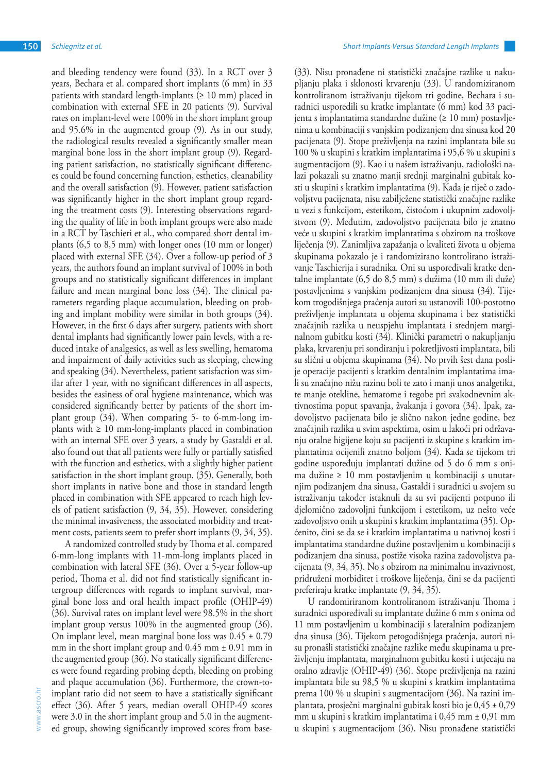and bleeding tendency were found (33). In a RCT over 3 years, Bechara et al. compared short implants (6 mm) in 33 patients with standard length-implants ( $\geq 10$  mm) placed in combination with external SFE in 20 patients (9). Survival rates on implant-level were 100% in the short implant group and 95.6% in the augmented group (9). As in our study, the radiological results revealed a significantly smaller mean marginal bone loss in the short implant group (9). Regarding patient satisfaction, no statistically significant differences could be found concerning function, esthetics, cleanability and the overall satisfaction (9). However, patient satisfaction was significantly higher in the short implant group regarding the treatment costs (9). Interesting observations regarding the quality of life in both implant groups were also made in a RCT by Taschieri et al., who compared short dental implants (6,5 to 8,5 mm) with longer ones (10 mm or longer) placed with external SFE (34). Over a follow-up period of 3 years, the authors found an implant survival of 100% in both groups and no statistically significant differences in implant failure and mean marginal bone loss (34). The clinical parameters regarding plaque accumulation, bleeding on probing and implant mobility were similar in both groups (34). However, in the first 6 days after surgery, patients with short dental implants had significantly lower pain levels, with a reduced intake of analgesics, as well as less swelling, hematoma and impairment of daily activities such as sleeping, chewing and speaking (34). Nevertheless, patient satisfaction was similar after 1 year, with no significant differences in all aspects, besides the easiness of oral hygiene maintenance, which was considered significantly better by patients of the short implant group (34). When comparing 5- to 6-mm-long implants with  $\geq 10$  mm-long-implants placed in combination with an internal SFE over 3 years, a study by Gastaldi et al. also found out that all patients were fully or partially satisfied with the function and esthetics, with a slightly higher patient satisfaction in the short implant group. (35). Generally, both short implants in native bone and those in standard length placed in combination with SFE appeared to reach high levels of patient satisfaction (9, 34, 35). However, considering the minimal invasiveness, the associated morbidity and treatment costs, patients seem to prefer short implants (9, 34, 35).

A randomized controlled study by Thoma et al. compared 6-mm-long implants with 11-mm-long implants placed in combination with lateral SFE (36). Over a 5-year follow-up period, Thoma et al. did not find statistically significant intergroup differences with regards to implant survival, marginal bone loss and oral health impact profile (OHIP-49) (36). Survival rates on implant level were 98.5% in the short implant group versus 100% in the augmented group (36). On implant level, mean marginal bone loss was  $0.45 \pm 0.79$ mm in the short implant group and  $0.45$  mm  $\pm 0.91$  mm in the augmented group (36). No statically significant differences were found regarding probing depth, bleeding on probing and plaque accumulation (36). Furthermore, the crown-toimplant ratio did not seem to have a statistically significant effect (36). After 5 years, median overall OHIP-49 scores were 3.0 in the short implant group and 5.0 in the augmented group, showing significantly improved scores from base-

(33). Nisu pronađene ni statistički značajne razlike u nakupljanju plaka i sklonosti krvarenju (33). U randomiziranom kontroliranom istraživanju tijekom tri godine, Bechara i suradnici usporedili su kratke implantate (6 mm) kod 33 pacijenta s implantatima standardne dužine (≥ 10 mm) postavljenima u kombinaciji s vanjskim podizanjem dna sinusa kod 20 pacijenata (9). Stope preživljenja na razini implantata bile su 100 % u skupini s kratkim implantatima i 95,6 % u skupini s augmentacijom (9). Kao i u našem istraživanju, radiološki nalazi pokazali su znatno manji srednji marginalni gubitak kosti u skupini s kratkim implantatima (9). Kada je riječ o zadovoljstvu pacijenata, nisu zabilježene statistički značajne razlike u vezi s funkcijom, estetikom, čistoćom i ukupnim zadovoljstvom (9). Međutim, zadovoljstvo pacijenata bilo je znatno veće u skupini s kratkim implantatima s obzirom na troškove liječenja (9). Zanimljiva zapažanja o kvaliteti života u objema skupinama pokazalo je i randomizirano kontrolirano istraživanje Taschierija i suradnika. Oni su uspoređivali kratke dentalne implantate (6,5 do 8,5 mm) s dužima (10 mm ili duže) postavljenima s vanjskim podizanjem dna sinusa (34). Tijekom trogodišnjega praćenja autori su ustanovili 100-postotno preživljenje implantata u objema skupinama i bez statistički značajnih razlika u neuspjehu implantata i srednjem marginalnom gubitku kosti (34). Klinički parametri o nakupljanju plaka, krvarenju pri sondiranju i pokretljivosti implantata, bili su slični u objema skupinama (34). No prvih šest dana poslije operacije pacijenti s kratkim dentalnim implantatima imali su značajno nižu razinu boli te zato i manji unos analgetika, te manje otekline, hematome i tegobe pri svakodnevnim aktivnostima poput spavanja, žvakanja i govora (34). Ipak, zadovoljstvo pacijenata bilo je slično nakon jedne godine, bez značajnih razlika u svim aspektima, osim u lakoći pri održavanju oralne higijene koju su pacijenti iz skupine s kratkim implantatima ocijenili znatno boljom (34). Kada se tijekom tri godine uspoređuju implantati dužine od 5 do 6 mm s onima dužine ≥ 10 mm postavljenim u kombinaciji s unutarnjim podizanjem dna sinusa, Gastaldi i suradnici u svojem su istraživanju također istaknuli da su svi pacijenti potpuno ili djelomično zadovoljni funkcijom i estetikom, uz nešto veće zadovoljstvo onih u skupini s kratkim implantatima (35). Općenito, čini se da se i kratkim implantatima u nativnoj kosti i implantatima standardne dužine postavljenim u kombinaciji s podizanjem dna sinusa, postiže visoka razina zadovoljstva pacijenata (9, 34, 35). No s obzirom na minimalnu invazivnost, pridruženi morbiditet i troškove liječenja, čini se da pacijenti preferiraju kratke implantate (9, 34, 35).

U randomiriranom kontroliranom istraživanju Thoma i suradnici uspoređivali su implantate dužine 6 mm s onima od 11 mm postavljenim u kombinaciji s lateralnim podizanjem dna sinusa (36). Tijekom petogodišnjega praćenja, autori nisu pronašli statistički značajne razlike među skupinama u preživljenju implantata, marginalnom gubitku kosti i utjecaju na oralno zdravlje (OHIP-49) (36). Stope preživljenja na razini implantata bile su 98,5 % u skupini s kratkim implantatima prema 100 % u skupini s augmentacijom (36). Na razini implantata, prosječni marginalni gubitak kosti bio je 0,45 ± 0,79 mm u skupini s kratkim implantatima i 0,45 mm ± 0,91 mm u skupini s augmentacijom (36). Nisu pronađene statistički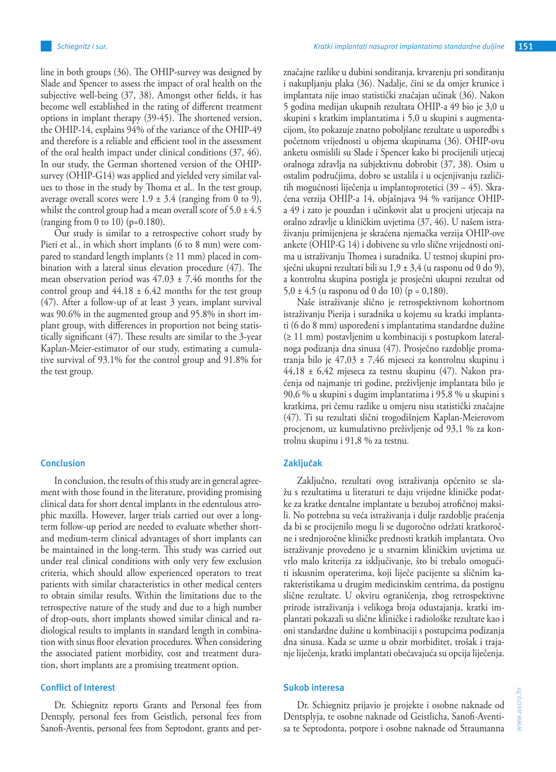line in both groups (36). The OHIP-survey was designed by Slade and Spencer to assess the impact of oral health on the subjective well-being (37, 38). Amongst other fields, it has become well established in the rating of different treatment options in implant therapy (39-45). The shortened version, the OHIP-14, explains 94% of the variance of the OHIP-49 and therefore is a reliable and efficient tool in the assessment of the oral health impact under clinical conditions (37, 46). In our study, the German shortened version of the OHIPsurvey (OHIP-G14) was applied and yielded very similar values to those in the study by Thoma et al.. In the test group, average overall scores were  $1.9 \pm 3.4$  (ranging from 0 to 9), whilst the control group had a mean overall score of  $5.0 \pm 4.5$ (ranging from 0 to 10) ( $p=0.180$ ).

Our study is similar to a retrospective cohort study by Pieri et al., in which short implants (6 to 8 mm) were compared to standard length implants ( $\geq 11$  mm) placed in combination with a lateral sinus elevation procedure (47). The mean observation period was  $47.03 \pm 7.46$  months for the control group and  $44.18 \pm 6.42$  months for the test group (47). After a follow-up of at least 3 years, implant survival was 90.6% in the augmented group and 95.8% in short implant group, with differences in proportion not being statistically significant (47). These results are similar to the 3-year Kaplan-Meier-estimator of our study, estimating a cumulative survival of 93.1% for the control group and 91.8% for the test group.

#### **Conclusion**

In conclusion, the results of this study are in general agreement with those found in the literature, providing promising clinical data for short dental implants in the edentulous atrophic maxilla. However, larger trials carried out over a longterm follow-up period are needed to evaluate whether shortand medium-term clinical advantages of short implants can be maintained in the long-term. This study was carried out under real clinical conditions with only very few exclusion criteria, which should allow experienced operators to treat patients with similar characteristics in other medical centers to obtain similar results. Within the limitations due to the retrospective nature of the study and due to a high number of drop-outs, short implants showed similar clinical and radiological results to implants in standard length in combination with sinus floor elevation procedures. When considering the associated patient morbidity, cost and treatment duration, short implants are a promising treatment option.

## **Conflict of Interest**

Dr. Schiegnitz reports Grants and Personal fees from Dentsply, personal fees from Geistlich, personal fees from Sanofi-Aventis, personal fees from Septodont, grants and perznačajne razlike u dubini sondiranja, krvarenju pri sondiranju i nakupljanju plaka (36). Nadalje, čini se da omjer krunice i implantata nije imao statistički značajan učinak (36). Nakon 5 godina medijan ukupnih rezultata OHIP-a 49 bio je 3,0 u skupini s kratkim implantatima i 5,0 u skupini s augmentacijom, što pokazuje znatno poboljšane rezultate u usporedbi s početnom vrijednosti u objema skupinama (36). OHIP-ovu anketu osmislili su Slade i Spencer kako bi procijenili utjecaj oralnoga zdravlja na subjektivnu dobrobit (37, 38). Osim u ostalim područjima, dobro se ustalila i u ocjenjivanju različitih mogućnosti liječenja u implantoprotetici (39 – 45). Skraćena verzija OHIP-a 14, objašnjava 94 % varijance OHIPa 49 i zato je pouzdan i učinkovit alat u procjeni utjecaja na oralno zdravlje u kliničkim uvjetima (37, 46). U našem istraživanju primijenjena je skraćena njemačka verzija OHIP-ove ankete (OHIP-G 14) i dobivene su vrlo slične vrijednosti onima u istraživanju Thomea i suradnika. U testnoj skupini prosječni ukupni rezultati bili su  $1,9 \pm 3,4$  (u rasponu od 0 do 9), a kontrolna skupina postigla je prosječni ukupni rezultat od 5,0  $\pm$  4,5 (u rasponu od 0 do 10) (p = 0,180).

Naše istraživanje slično je retrospektivnom kohortnom istraživanju Pierija i suradnika u kojemu su kratki implantati (6 do 8 mm) uspoređeni s implantatima standardne dužine (≥ 11 mm) postavljenim u kombinaciji s postupkom lateralnoga podizanja dna sinusa (47). Prosječno razdoblje promatranja bilo je 47,03 ± 7,46 mjeseci za kontrolnu skupinu i 44,18 ± 6,42 mjeseca za testnu skupinu (47). Nakon praćenja od najmanje tri godine, preživljenje implantata bilo je 90,6 % u skupini s dugim implantatima i 95,8 % u skupini s kratkima, pri čemu razlike u omjeru nisu statistički značajne (47). Ti su rezultati slični trogodišnjem Kaplan-Meierovom procjenom, uz kumulativno preživljenje od 93,1 % za kontrolnu skupinu i 91,8 % za testnu.

## **Zaključak**

Zaključno, rezultati ovog istraživanja općenito se slažu s rezultatima u literaturi te daju vrijedne kliničke podatke za kratke dentalne implantate u bezuboj atrofičnoj maksili. No potrebna su veća istraživanja i dulje razdoblje praćenja da bi se procijenilo mogu li se dugoročno održati kratkoročne i srednjoročne kliničke prednosti kratkih implantata. Ovo istraživanje provedeno je u stvarnim kliničkim uvjetima uz vrlo malo kriterija za isključivanje, što bi trebalo omogućiti iskusnim operaterima, koji liječe pacijente sa sličnim karakteristikama u drugim medicinskim centrima, da postignu slične rezultate. U okviru ograničenja, zbog retrospektivne prirode istraživanja i velikoga broja odustajanja, kratki implantati pokazali su slične kliničke i radiološke rezultate kao i oni standardne dužine u kombinaciji s postupcima podizanja dna sinusa. Kada se uzme u obzir morbiditet, trošak i trajanje liječenja, kratki implantati obećavajuća su opcija liječenja.

## **Sukob interesa**

Dr. Schiegnitz prijavio je projekte i osobne naknade od Dentsplyja, te osobne naknade od Geistlicha, Sanofi-Aventisa te Septodonta, potpore i osobne naknade od Straumanna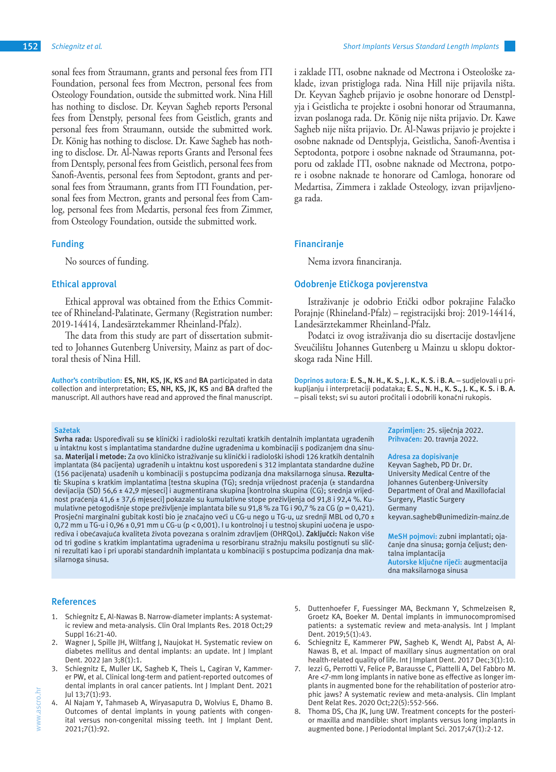sonal fees from Straumann, grants and personal fees from ITI Foundation, personal fees from Mectron, personal fees from Osteology Foundation, outside the submitted work. Nina Hill has nothing to disclose. Dr. Keyvan Sagheb reports Personal fees from Denstply, personal fees from Geistlich, grants and personal fees from Straumann, outside the submitted work. Dr. König has nothing to disclose. Dr. Kawe Sagheb has nothing to disclose. Dr. Al-Nawas reports Grants and Personal fees from Dentsply, personal fees from Geistlich, personal fees from Sanofi-Aventis, personal fees from Septodont, grants and personal fees from Straumann, grants from ITI Foundation, personal fees from Mectron, grants and personal fees from Camlog, personal fees from Medartis, personal fees from Zimmer, from Osteology Foundation, outside the submitted work.

### **Funding**

No sources of funding.

## **Ethical approval**

Ethical approval was obtained from the Ethics Committee of Rhineland-Palatinate, Germany (Registration number: 2019-14414, Landesärztekammer Rheinland-Pfalz).

The data from this study are part of dissertation submitted to Johannes Gutenberg University, Mainz as part of doctoral thesis of Nina Hill.

**Author's contribution: ES, NH, KS, JK, KS** and **BA** participated in data collection and interpretation; **ES, NH, KS, JK, KS** and **BA** drafted the manuscript. All authors have read and approved the final manuscript.

#### **Sažetak**

**Svrha rada:** Uspoređivali su **se** klinički i radiološki rezultati kratkih dentalnih implantata ugrađenih u intaktnu kost s implantatima standardne dužine ugrađenima u kombinaciji s podizanjem dna sinusa. **Materijal i metode:** Za ovo kliničko istraživanje su klinički i radiološki ishodi 126 kratkih dentalnih implantata (84 pacijenta) ugrađenih u intaktnu kost uspoređeni s 312 implantata standardne dužine (156 pacijenata) usađenih u kombinaciji s postupcima podizanja dna maksilarnoga sinusa. **Rezultati:** Skupina s kratkim implantatima [testna skupina (TG); srednja vrijednost praćenja (± standardna devijacija (SD) 56,6 ± 42,9 mjeseci] i augmentirana skupina [kontrolna skupina (CG); srednja vrijednost praćenja 41,6 ± 37,6 mjeseci] pokazale su kumulativne stope preživljenja od 91,8 i 92,4 %. Kumulativne petogodišnje stope preživljenje implantata bile su 91,8 % za TG i 90,7 % za CG (p = 0,421). Prosječni marginalni gubitak kosti bio je značajno veći u CG-u nego u TG-u, uz srednji MBL od 0,70 ± 0,72 mm u TG-u i 0,96 ± 0,91 mm u CG-u (p < 0,001). I u kontrolnoj i u testnoj skupini uočena je usporediva i obećavajuća kvaliteta života povezana s oralnim zdravljem (OHRQoL). **Zaključci:** Nakon više od tri godine s kratkim implantatima ugrađenima u resorbiranu stražnju maksilu postignuti su slični rezultati kao i pri uporabi standardnih implantata u kombinaciji s postupcima podizanja dna maksilarnoga sinusa.

klade, izvan pristigloga rada. Nina Hill nije prijavila ništa. Dr. Keyvan Sagheb prijavio je osobne honorare od Denstplyja i Geistlicha te projekte i osobni honorar od Straumanna, izvan poslanoga rada. Dr. König nije ništa prijavio. Dr. Kawe Sagheb nije ništa prijavio. Dr. Al-Nawas prijavio je projekte i osobne naknade od Dentsplyja, Geistlicha, Sanofi-Aventisa i Septodonta, potpore i osobne naknade od Straumanna, potporu od zaklade ITI, osobne naknade od Mectrona, potpore i osobne naknade te honorare od Camloga, honorare od Medartisa, Zimmera i zaklade Osteology, izvan prijavljenoga rada.

i zaklade ITI, osobne naknade od Mectrona i Osteološke za-

## **Financiranje**

Nema izvora financiranja.

## **Odobrenje Etičkoga povjerenstva**

Istraživanje je odobrio Etički odbor pokrajine Falačko Porajnje (Rhineland-Pfalz) – registracijski broj: 2019-14414, Landesärztekammer Rheinland-Pfalz.

Podatci iz ovog istraživanja dio su disertacije dostavljene Sveučilištu Johannes Gutenberg u Mainzu u sklopu doktorskoga rada Nine Hill.

**Doprinos autora: E. S., N. H., K. S., J. K., K. S.** i **B. A.** – sudjelovali u prikupljanju i interpretaciji podataka; **E. S., N. H., K. S., J. K., K. S.** i **B. A.** – pisali tekst; svi su autori pročitali i odobrili konačni rukopis.

> **Zaprimljen:** 25. siječnja 2022. **Prihvaćen:** 20. travnja 2022.

**Adresa za dopisivanje** Keyvan Sagheb, PD Dr. Dr. University Medical Centre of the Johannes Gutenberg-University Department of Oral and Maxillofacial Surgery, Plastic Surgery Germany keyvan.sagheb@unimedizin-mainz.de

**MeSH pojmovi:** zubni implantati; ojačanje dna sinusa; gornja čeljust; dentalna implantacija **Autorske ključne riječi:** augmentacija dna maksilarnoga sinusa

## **References**

- 1. Schiegnitz E, Al-Nawas B. Narrow-diameter implants: A systematic review and meta-analysis. Clin Oral Implants Res. 2018 Oct;29 Suppl 16:21-40.
- 2. Wagner J, Spille JH, Wiltfang J, Naujokat H. Systematic review on diabetes mellitus and dental implants: an update. Int J Implant Dent. 2022 Jan 3;8(1):1.
- Schiegnitz E, Muller LK, Sagheb K, Theis L, Cagiran V, Kammerer PW, et al. Clinical long-term and patient-reported outcomes of dental implants in oral cancer patients. Int J Implant Dent. 2021 Jul 13;7(1):93.
- 4. Al Najam Y, Tahmaseb A, Wiryasaputra D, Wolvius E, Dhamo B. Outcomes of dental implants in young patients with congenital versus non-congenital missing teeth. Int J Implant Dent. 2021;7(1):92.
- 5. Duttenhoefer F, Fuessinger MA, Beckmann Y, Schmelzeisen R, Groetz KA, Boeker M. Dental implants in immunocompromised patients: a systematic review and meta-analysis. Int J Implant Dent. 2019;5(1):43.
- Schiegnitz E, Kammerer PW, Sagheb K, Wendt AJ, Pabst A, Al-Nawas B, et al. Impact of maxillary sinus augmentation on oral health-related quality of life. Int J Implant Dent. 2017 Dec;3(1):10.
- Iezzi G, Perrotti V, Felice P, Barausse C, Piattelli A, Del Fabbro M. Are <7-mm long implants in native bone as effective as longer implants in augmented bone for the rehabilitation of posterior atrophic jaws? A systematic review and meta-analysis. Clin Implant Dent Relat Res. 2020 Oct;22(5):552-566.
- 8. Thoma DS, Cha JK, Jung UW. Treatment concepts for the posterior maxilla and mandible: short implants versus long implants in augmented bone. J Periodontal Implant Sci. 2017;47(1):2-12.